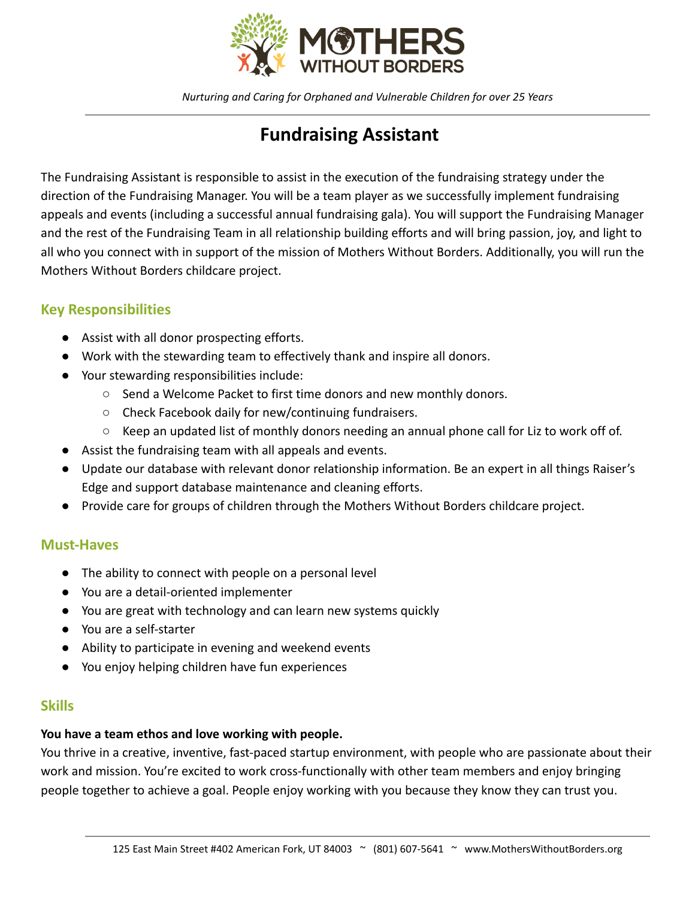

*Nurturing and Caring for Orphaned and Vulnerable Children for over 25 Years*

# **Fundraising Assistant**

The Fundraising Assistant is responsible to assist in the execution of the fundraising strategy under the direction of the Fundraising Manager. You will be a team player as we successfully implement fundraising appeals and events (including a successful annual fundraising gala). You will support the Fundraising Manager and the rest of the Fundraising Team in all relationship building efforts and will bring passion, joy, and light to all who you connect with in support of the mission of Mothers Without Borders. Additionally, you will run the Mothers Without Borders childcare project.

## **Key Responsibilities**

- Assist with all donor prospecting efforts.
- Work with the stewarding team to effectively thank and inspire all donors.
- Your stewarding responsibilities include:
	- Send a Welcome Packet to first time donors and new monthly donors.
	- Check Facebook daily for new/continuing fundraisers.
	- $\circ$  Keep an updated list of monthly donors needing an annual phone call for Liz to work off of.
- Assist the fundraising team with all appeals and events.
- Update our database with relevant donor relationship information. Be an expert in all things Raiser's Edge and support database maintenance and cleaning efforts.
- Provide care for groups of children through the Mothers Without Borders childcare project.

### **Must-Haves**

- The ability to connect with people on a personal level
- You are a detail-oriented implementer
- You are great with technology and can learn new systems quickly
- You are a self-starter
- Ability to participate in evening and weekend events
- You enjoy helping children have fun experiences

### **Skills**

#### **You have a team ethos and love working with people.**

You thrive in a creative, inventive, fast-paced startup environment, with people who are passionate about their work and mission. You're excited to work cross-functionally with other team members and enjoy bringing people together to achieve a goal. People enjoy working with you because they know they can trust you.